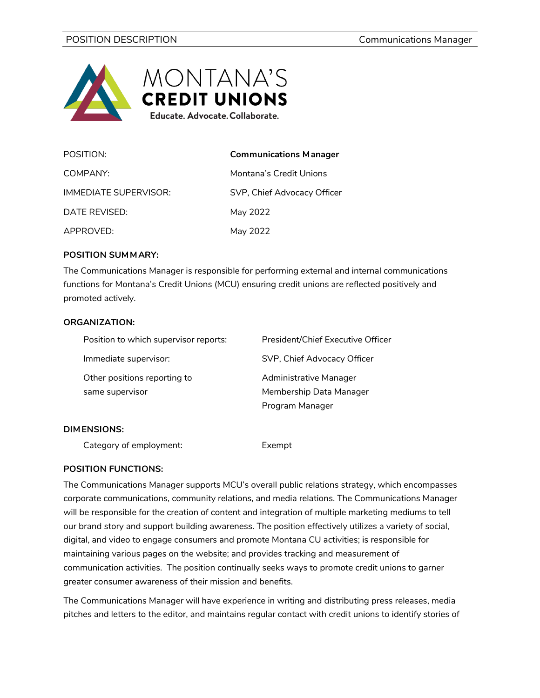

| POSITION:             | <b>Communications Manager</b> |
|-----------------------|-------------------------------|
| COMPANY:              | Montana's Credit Unions       |
| IMMEDIATE SUPFRVISOR: | SVP, Chief Advocacy Officer   |
| DATE REVISED:         | May 2022                      |
| APPROVED:             | May 2022                      |

### **POSITION SUMMARY:**

The Communications Manager is responsible for performing external and internal communications functions for Montana's Credit Unions (MCU) ensuring credit unions are reflected positively and promoted actively.

### **ORGANIZATION:**

| Position to which supervisor reports: | President/Chief Executive Officer |
|---------------------------------------|-----------------------------------|
| Immediate supervisor:                 | SVP, Chief Advocacy Officer       |
| Other positions reporting to          | Administrative Manager            |
| same supervisor                       | Membership Data Manager           |
|                                       | Program Manager                   |
|                                       |                                   |

#### **DIMENSIONS:**

Category of employment: Exempt

## **POSITION FUNCTIONS:**

The Communications Manager supports MCU's overall public relations strategy, which encompasses corporate communications, community relations, and media relations. The Communications Manager will be responsible for the creation of content and integration of multiple marketing mediums to tell our brand story and support building awareness. The position effectively utilizes a variety of social, digital, and video to engage consumers and promote Montana CU activities; is responsible for maintaining various pages on the website; and provides tracking and measurement of communication activities. The position continually seeks ways to promote credit unions to garner greater consumer awareness of their mission and benefits.

The Communications Manager will have experience in writing and distributing press releases, media pitches and letters to the editor, and maintains regular contact with credit unions to identify stories of